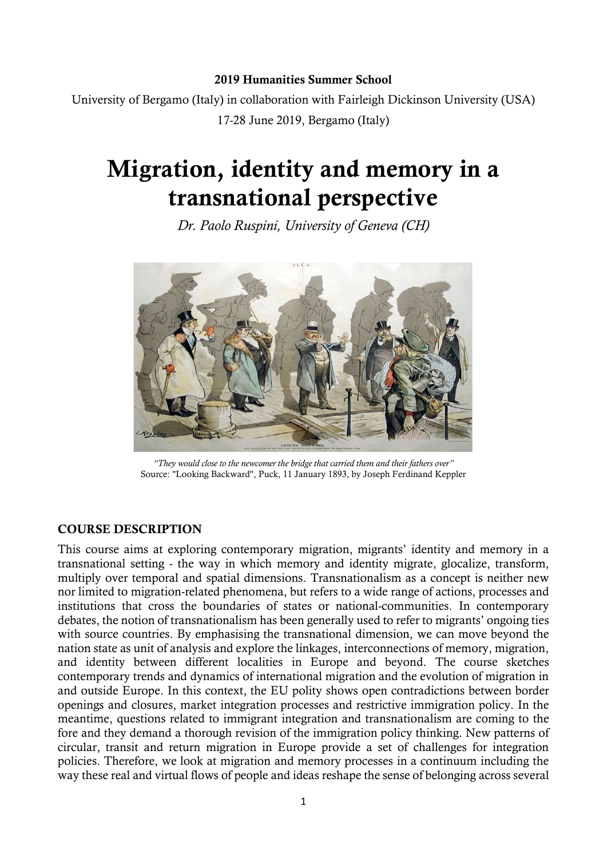#### 2019 Humanities Summer School

University of Bergamo (Italy) in collaboration with Fairleigh Dickinson University (USA) 17-28 June 2019, Bergamo (Italy)

# Migration, identity and memory in a transnational perspective

Dr. Paolo Ruspini, University of Geneva (CH)



"They would close to the newcomer the bridge that carried them and their fathers over" Source: "Looking Backward", Puck, 11 January 1893, by Joseph Ferdinand Keppler

#### COURSE DESCRIPTION

This course aims at exploring contemporary migration, migrants' identity and memory in a transnational setting - the way in which memory and identity migrate, glocalize, transform, multiply over temporal and spatial dimensions. Transnationalism as a concept is neither new nor limited to migration-related phenomena, but refers to a wide range of actions, processes and institutions that cross the boundaries of states or national-communities. In contemporary debates, the notion of transnationalism has been generally used to refer to migrants' ongoing ties with source countries. By emphasising the transnational dimension, we can move beyond the nation state as unit of analysis and explore the linkages, interconnections of memory, migration, and identity between different localities in Europe and beyond. The course sketches contemporary trends and dynamics of international migration and the evolution of migration in and outside Europe. In this context, the EU polity shows open contradictions between border openings and closures, market integration processes and restrictive immigration policy. In the meantime, questions related to immigrant integration and transnationalism are coming to the fore and they demand a thorough revision of the immigration policy thinking. New patterns of circular, transit and return migration in Europe provide a set of challenges for integration policies. Therefore, we look at migration and memory processes in a continuum including the way these real and virtual flows of people and ideas reshape the sense of belonging across several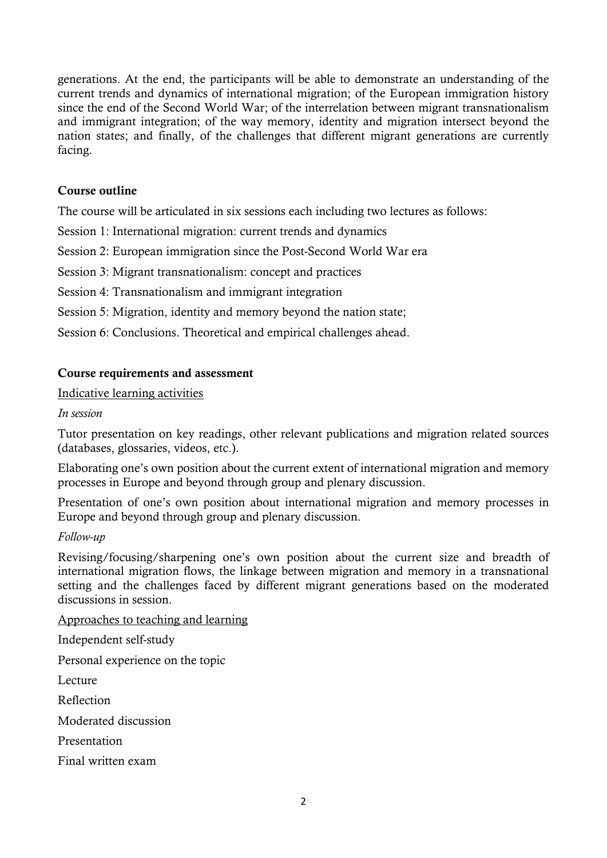generations. At the end, the participants will be able to demonstrate an understanding of the current trends and dynamics of international migration; of the European immigration history since the end of the Second World War; of the interrelation between migrant transnationalism and immigrant integration; of the way memory, identity and migration intersect beyond the nation states; and finally, of the challenges that different migrant generations are currently facing.

## Course outline

The course will be articulated in six sessions each including two lectures as follows:

Session 1: International migration: current trends and dynamics

Session 2: European immigration since the Post-Second World War era

Session 3: Migrant transnationalism: concept and practices

Session 4: Transnationalism and immigrant integration

Session 5: Migration, identity and memory beyond the nation state;

Session 6: Conclusions. Theoretical and empirical challenges ahead.

## Course requirements and assessment

Indicative learning activities

#### In session

Tutor presentation on key readings, other relevant publications and migration related sources (databases, glossaries, videos, etc.).

Elaborating one's own position about the current extent of international migration and memory processes in Europe and beyond through group and plenary discussion.

Presentation of one's own position about international migration and memory processes in Europe and beyond through group and plenary discussion.

## Follow-up

Revising/focusing/sharpening one's own position about the current size and breadth of international migration flows, the linkage between migration and memory in a transnational setting and the challenges faced by different migrant generations based on the moderated discussions in session.

Approaches to teaching and learning

Independent self-study

Personal experience on the topic

Lecture

Reflection

Moderated discussion

Presentation

Final written exam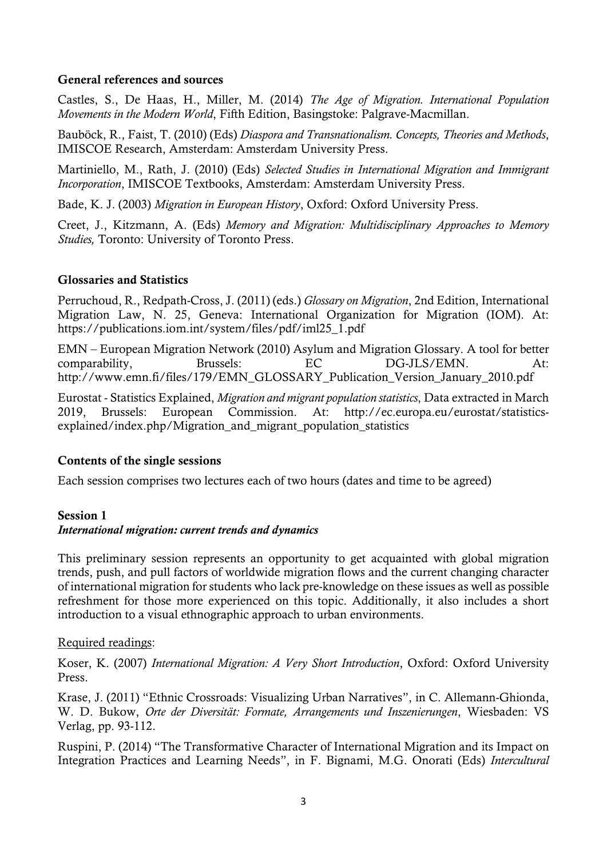#### General references and sources

Castles, S., De Haas, H., Miller, M. (2014) The Age of Migration. International Population Movements in the Modern World, Fifth Edition, Basingstoke: Palgrave-Macmillan.

Bauböck, R., Faist, T. (2010) (Eds) Diaspora and Transnationalism. Concepts, Theories and Methods, IMISCOE Research, Amsterdam: Amsterdam University Press.

Martiniello, M., Rath, J. (2010) (Eds) Selected Studies in International Migration and Immigrant Incorporation, IMISCOE Textbooks, Amsterdam: Amsterdam University Press.

Bade, K. J. (2003) Migration in European History, Oxford: Oxford University Press.

Creet, J., Kitzmann, A. (Eds) Memory and Migration: Multidisciplinary Approaches to Memory Studies, Toronto: University of Toronto Press.

#### Glossaries and Statistics

Perruchoud, R., Redpath-Cross, J. (2011) (eds.) Glossary on Migration, 2nd Edition, International Migration Law, N. 25, Geneva: International Organization for Migration (IOM). At: https://publications.iom.int/system/files/pdf/iml25\_1.pdf

EMN – European Migration Network (2010) Asylum and Migration Glossary. A tool for better comparability, Brussels: EC DG-JLS/EMN. At: http://www.emn.fi/files/179/EMN\_GLOSSARY\_Publication\_Version\_January\_2010.pdf

Eurostat - Statistics Explained, Migration and migrant population statistics, Data extracted in March 2019, Brussels: European Commission. At: http://ec.europa.eu/eurostat/statisticsexplained/index.php/Migration\_and\_migrant\_population\_statistics

## Contents of the single sessions

Each session comprises two lectures each of two hours (dates and time to be agreed)

## Session 1

## International migration: current trends and dynamics

This preliminary session represents an opportunity to get acquainted with global migration trends, push, and pull factors of worldwide migration flows and the current changing character of international migration for students who lack pre-knowledge on these issues as well as possible refreshment for those more experienced on this topic. Additionally, it also includes a short introduction to a visual ethnographic approach to urban environments.

#### Required readings:

Koser, K. (2007) International Migration: A Very Short Introduction, Oxford: Oxford University Press.

Krase, J. (2011) "Ethnic Crossroads: Visualizing Urban Narratives", in C. Allemann-Ghionda, W. D. Bukow, Orte der Diversität: Formate, Arrangements und Inszenierungen, Wiesbaden: VS Verlag, pp. 93-112.

Ruspini, P. (2014) "The Transformative Character of International Migration and its Impact on Integration Practices and Learning Needs", in F. Bignami, M.G. Onorati (Eds) Intercultural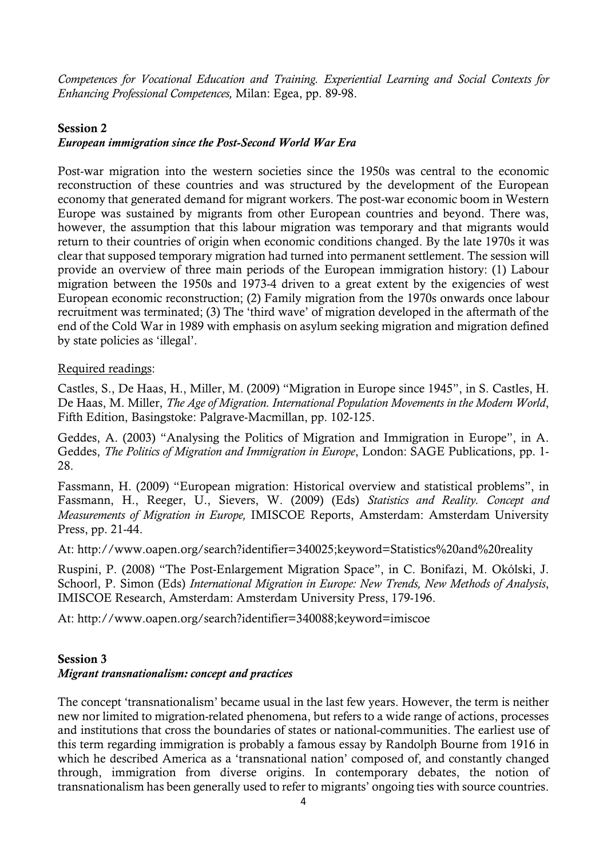Competences for Vocational Education and Training. Experiential Learning and Social Contexts for Enhancing Professional Competences, Milan: Egea, pp. 89-98.

## Session 2

#### European immigration since the Post-Second World War Era

Post-war migration into the western societies since the 1950s was central to the economic reconstruction of these countries and was structured by the development of the European economy that generated demand for migrant workers. The post-war economic boom in Western Europe was sustained by migrants from other European countries and beyond. There was, however, the assumption that this labour migration was temporary and that migrants would return to their countries of origin when economic conditions changed. By the late 1970s it was clear that supposed temporary migration had turned into permanent settlement. The session will provide an overview of three main periods of the European immigration history: (1) Labour migration between the 1950s and 1973-4 driven to a great extent by the exigencies of west European economic reconstruction; (2) Family migration from the 1970s onwards once labour recruitment was terminated; (3) The 'third wave' of migration developed in the aftermath of the end of the Cold War in 1989 with emphasis on asylum seeking migration and migration defined by state policies as 'illegal'.

#### Required readings:

Castles, S., De Haas, H., Miller, M. (2009) "Migration in Europe since 1945", in S. Castles, H. De Haas, M. Miller, The Age of Migration. International Population Movements in the Modern World, Fifth Edition, Basingstoke: Palgrave-Macmillan, pp. 102-125.

Geddes, A. (2003) "Analysing the Politics of Migration and Immigration in Europe", in A. Geddes, The Politics of Migration and Immigration in Europe, London: SAGE Publications, pp. 1- 28.

Fassmann, H. (2009) "European migration: Historical overview and statistical problems", in Fassmann, H., Reeger, U., Sievers, W. (2009) (Eds) Statistics and Reality. Concept and Measurements of Migration in Europe, IMISCOE Reports, Amsterdam: Amsterdam University Press, pp. 21-44.

At: http://www.oapen.org/search?identifier=340025;keyword=Statistics%20and%20reality

Ruspini, P. (2008) "The Post-Enlargement Migration Space", in C. Bonifazi, M. Okólski, J. Schoorl, P. Simon (Eds) International Migration in Europe: New Trends, New Methods of Analysis, IMISCOE Research, Amsterdam: Amsterdam University Press, 179-196.

At: http://www.oapen.org/search?identifier=340088;keyword=imiscoe

## Session 3

## Migrant transnationalism: concept and practices

The concept 'transnationalism' became usual in the last few years. However, the term is neither new nor limited to migration-related phenomena, but refers to a wide range of actions, processes and institutions that cross the boundaries of states or national-communities. The earliest use of this term regarding immigration is probably a famous essay by Randolph Bourne from 1916 in which he described America as a 'transnational nation' composed of, and constantly changed through, immigration from diverse origins. In contemporary debates, the notion of transnationalism has been generally used to refer to migrants' ongoing ties with source countries.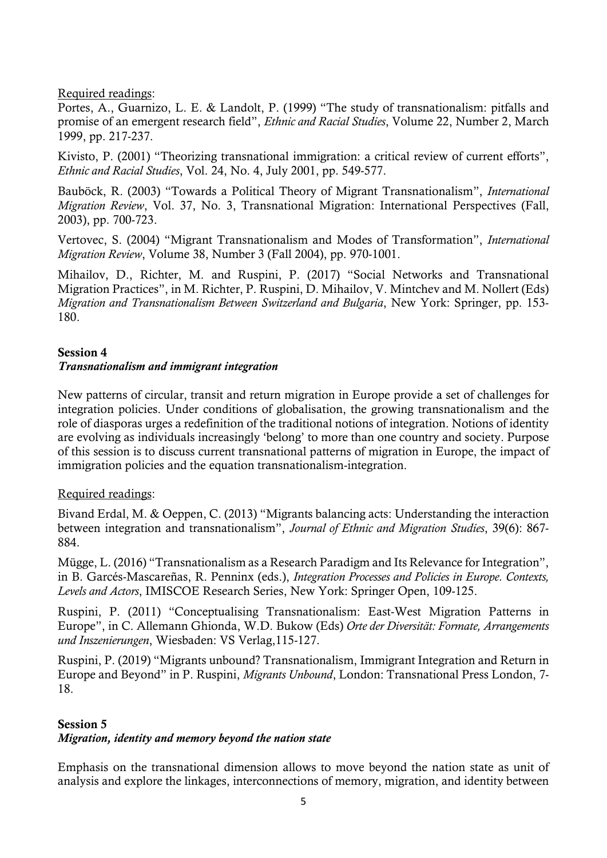Required readings:

Portes, A., Guarnizo, L. E. & Landolt, P. (1999) "The study of transnationalism: pitfalls and promise of an emergent research field", Ethnic and Racial Studies, Volume 22, Number 2, March 1999, pp. 217-237.

Kivisto, P. (2001) "Theorizing transnational immigration: a critical review of current efforts", Ethnic and Racial Studies, Vol. 24, No. 4, July 2001, pp. 549-577.

Bauböck, R. (2003) "Towards a Political Theory of Migrant Transnationalism", International Migration Review, Vol. 37, No. 3, Transnational Migration: International Perspectives (Fall, 2003), pp. 700-723.

Vertovec, S. (2004) "Migrant Transnationalism and Modes of Transformation", International Migration Review, Volume 38, Number 3 (Fall 2004), pp. 970-1001.

Mihailov, D., Richter, M. and Ruspini, P. (2017) "Social Networks and Transnational Migration Practices", in M. Richter, P. Ruspini, D. Mihailov, V. Mintchev and M. Nollert (Eds) Migration and Transnationalism Between Switzerland and Bulgaria, New York: Springer, pp. 153- 180.

## Session 4

## Transnationalism and immigrant integration

New patterns of circular, transit and return migration in Europe provide a set of challenges for integration policies. Under conditions of globalisation, the growing transnationalism and the role of diasporas urges a redefinition of the traditional notions of integration. Notions of identity are evolving as individuals increasingly 'belong' to more than one country and society. Purpose of this session is to discuss current transnational patterns of migration in Europe, the impact of immigration policies and the equation transnationalism-integration.

# Required readings:

Bivand Erdal, M. & Oeppen, C. (2013) "Migrants balancing acts: Understanding the interaction between integration and transnationalism", Journal of Ethnic and Migration Studies, 39(6): 867- 884.

Mügge, L. (2016) "Transnationalism as a Research Paradigm and Its Relevance for Integration", in B. Garcés-Mascareñas, R. Penninx (eds.), Integration Processes and Policies in Europe. Contexts, Levels and Actors, IMISCOE Research Series, New York: Springer Open, 109-125.

Ruspini, P. (2011) "Conceptualising Transnationalism: East-West Migration Patterns in Europe", in C. Allemann Ghionda, W.D. Bukow (Eds) Orte der Diversität: Formate, Arrangements und Inszenierungen, Wiesbaden: VS Verlag,115-127.

Ruspini, P. (2019) "Migrants unbound? Transnationalism, Immigrant Integration and Return in Europe and Beyond" in P. Ruspini, Migrants Unbound, London: Transnational Press London, 7- 18.

## Session 5

# Migration, identity and memory beyond the nation state

Emphasis on the transnational dimension allows to move beyond the nation state as unit of analysis and explore the linkages, interconnections of memory, migration, and identity between